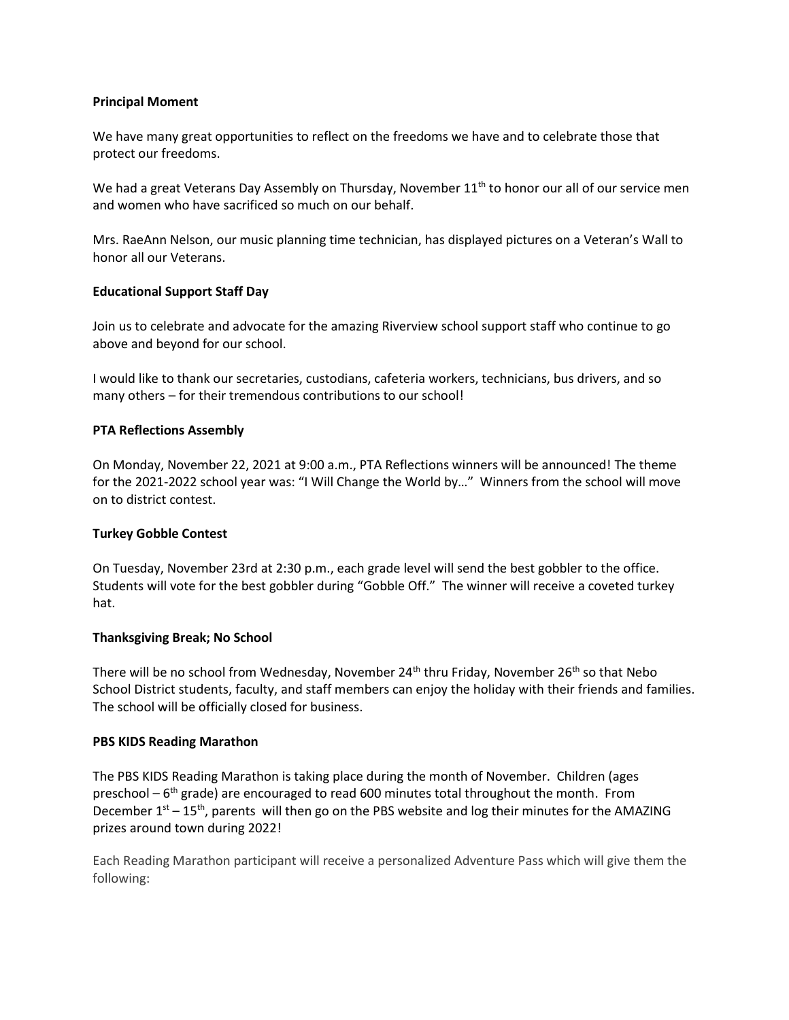### **Principal Moment**

We have many great opportunities to reflect on the freedoms we have and to celebrate those that protect our freedoms.

We had a great Veterans Day Assembly on Thursday, November 11<sup>th</sup> to honor our all of our service men and women who have sacrificed so much on our behalf.

Mrs. RaeAnn Nelson, our music planning time technician, has displayed pictures on a Veteran's Wall to honor all our Veterans.

### **Educational Support Staff Day**

Join us to celebrate and advocate for the amazing Riverview school support staff who continue to go above and beyond for our school.

I would like to thank our secretaries, custodians, cafeteria workers, technicians, bus drivers, and so many others – for their tremendous contributions to our school!

### **PTA Reflections Assembly**

On Monday, November 22, 2021 at 9:00 a.m., PTA Reflections winners will be announced! The theme for the 2021-2022 school year was: "I Will Change the World by…" Winners from the school will move on to district contest.

## **Turkey Gobble Contest**

On Tuesday, November 23rd at 2:30 p.m., each grade level will send the best gobbler to the office. Students will vote for the best gobbler during "Gobble Off." The winner will receive a coveted turkey hat.

#### **Thanksgiving Break; No School**

There will be no school from Wednesday, November 24<sup>th</sup> thru Friday, November 26<sup>th</sup> so that Nebo School District students, faculty, and staff members can enjoy the holiday with their friends and families. The school will be officially closed for business.

#### **PBS KIDS Reading Marathon**

The PBS KIDS Reading Marathon is taking place during the month of November. Children (ages preschool – 6<sup>th</sup> grade) are encouraged to read 600 minutes total throughout the month. From December 1<sup>st</sup> – 15<sup>th</sup>, parents will then go on the PBS website and log their minutes for the AMAZING prizes around town during 2022!

Each Reading Marathon participant will receive a personalized Adventure Pass which will give them the following: